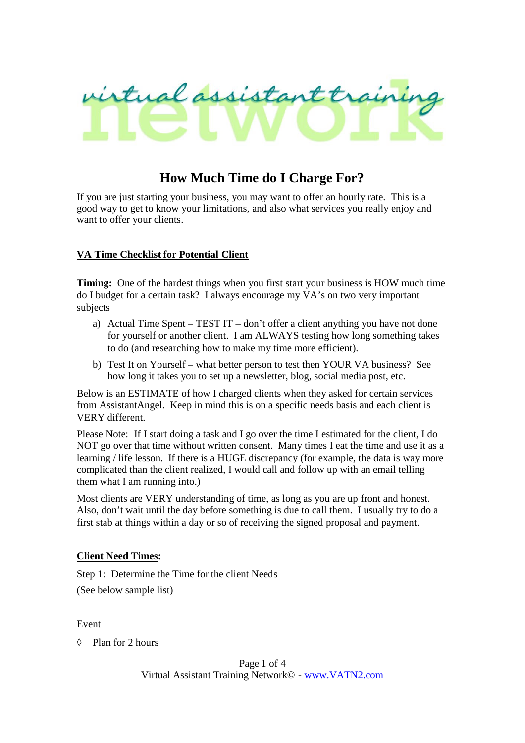

# **How Much Time do I Charge For?**

If you are just starting your business, you may want to offer an hourly rate. This is a good way to get to know your limitations, and also what services you really enjoy and want to offer your clients.

## **VA Time Checklist for Potential Client**

**Timing:** One of the hardest things when you first start your business is HOW much time do I budget for a certain task? I always encourage my VA's on two very important subjects

- a) Actual Time Spent TEST IT don't offer a client anything you have not done for yourself or another client. I am ALWAYS testing how long something takes to do (and researching how to make my time more efficient).
- b) Test It on Yourself what better person to test then YOUR VA business? See how long it takes you to set up a newsletter, blog, social media post, etc.

Below is an ESTIMATE of how I charged clients when they asked for certain services from AssistantAngel. Keep in mind this is on a specific needs basis and each client is VERY different.

Please Note: If I start doing a task and I go over the time I estimated for the client, I do NOT go over that time without written consent. Many times I eat the time and use it as a learning / life lesson. If there is a HUGE discrepancy (for example, the data is way more complicated than the client realized, I would call and follow up with an email telling them what I am running into.)

Most clients are VERY understanding of time, as long as you are up front and honest. Also, don't wait until the day before something is due to call them. I usually try to do a first stab at things within a day or so of receiving the signed proposal and payment.

## **Client Need Times:**

Step 1: Determine the Time for the client Needs

(See below sample list)

Event

Plan for 2 hours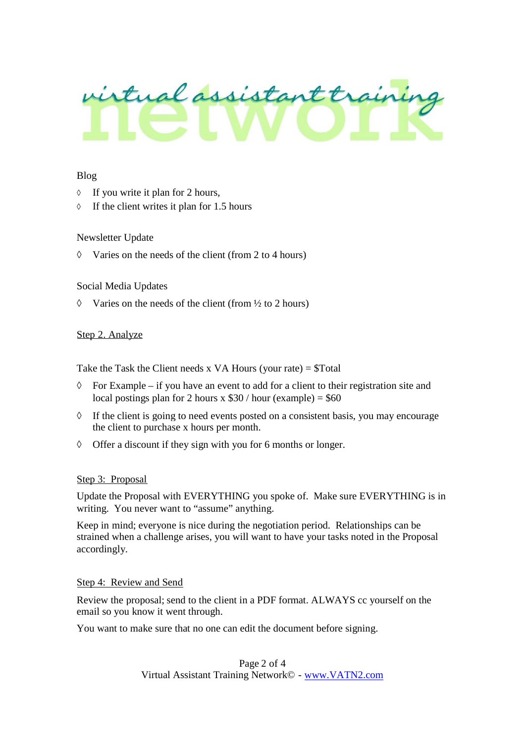

### Blog

- $\Diamond$  If you write it plan for 2 hours,
- $\Diamond$  If the client writes it plan for 1.5 hours

### Newsletter Update

 $\Diamond$  Varies on the needs of the client (from 2 to 4 hours)

### Social Media Updates

 $\Diamond$  Varies on the needs of the client (from  $\frac{1}{2}$  to 2 hours)

### Step 2. Analyze

Take the Task the Client needs x VA Hours (your rate)  $= $Total$ 

- $\Diamond$  For Example if you have an event to add for a client to their registration site and local postings plan for 2 hours x  $$30 / hour$  (example) = \$60
- $\Diamond$  If the client is going to need events posted on a consistent basis, you may encourage the client to purchase x hours per month.
- $\Diamond$  Offer a discount if they sign with you for 6 months or longer.

#### Step 3: Proposal

Update the Proposal with EVERYTHING you spoke of. Make sure EVERYTHING is in writing. You never want to "assume" anything.

Keep in mind; everyone is nice during the negotiation period. Relationships can be strained when a challenge arises, you will want to have your tasks noted in the Proposal accordingly.

## Step 4: Review and Send

Review the proposal; send to the client in a PDF format. ALWAYS cc yourself on the email so you know it went through.

You want to make sure that no one can edit the document before signing.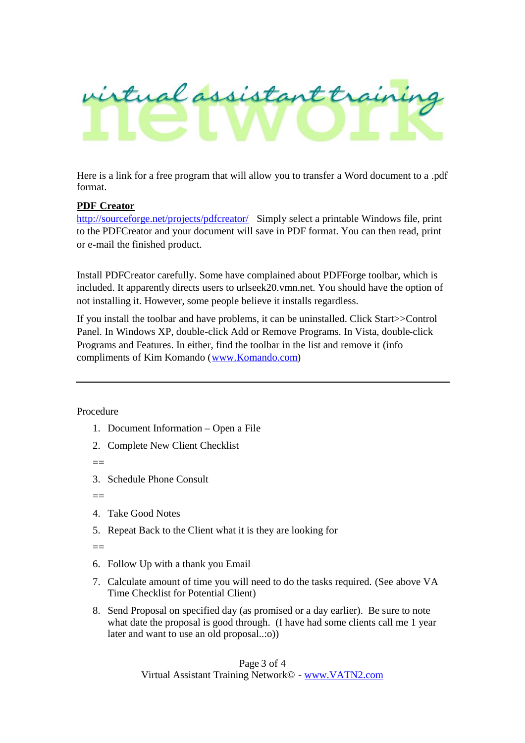

Here is a link for a free program that will allow you to transfer a Word document to a .pdf format.

## **PDF Creator**

http://sourceforge.net/projects/pdfcreator/ Simply select a printable Windows file, print to the PDFCreator and your document will save in PDF format. You can then read, print or e-mail the finished product.

Install PDFCreator carefully. Some have complained about PDFForge toolbar, which is included. It apparently directs users to urlseek20.vmn.net. You should have the option of not installing it. However, some people believe it installs regardless.

If you install the toolbar and have problems, it can be uninstalled. Click Start>>Control Panel. In Windows XP, double-click Add or Remove Programs. In Vista, double-click Programs and Features. In either, find the toolbar in the list and remove it (info compliments of Kim Komando (www.Komando.com)

Procedure

- 1. Document Information Open a File
- 2. Complete New Client Checklist

 $\hspace{0.1mm}-\hspace{0.1mm}-$ 

3. Schedule Phone Consult

 $\equiv$ 

- 4. Take Good Notes
- 5. Repeat Back to the Client what it is they are looking for

 $=$ 

- 6. Follow Up with a thank you Email
- 7. Calculate amount of time you will need to do the tasks required. (See above VA Time Checklist for Potential Client)
- 8. Send Proposal on specified day (as promised or a day earlier). Be sure to note what date the proposal is good through. (I have had some clients call me 1 year later and want to use an old proposal..:o))

Page 3 of 4 Virtual Assistant Training Network© - www.VATN2.com